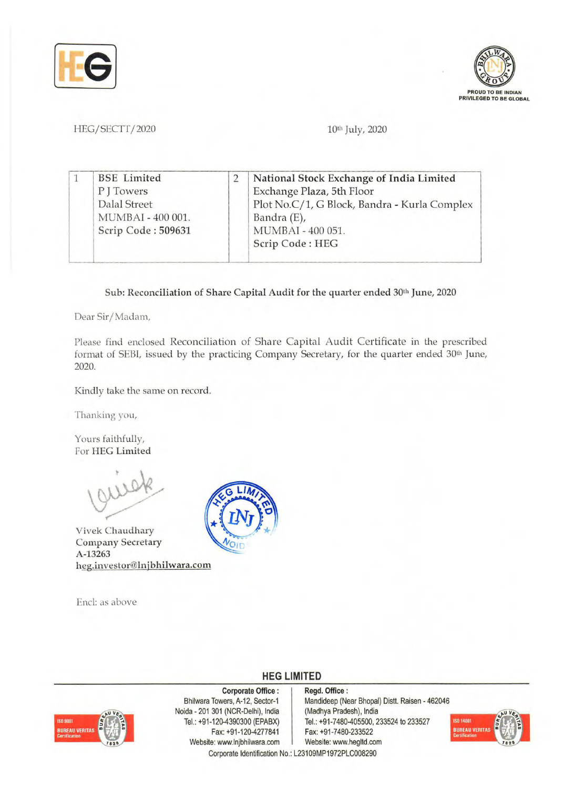



HEG/SECTT/2020 10th July, 2020

|  | <b>BSE</b> Limited | National Stock Exchange of India Limited     |
|--|--------------------|----------------------------------------------|
|  | PITowers           | Exchange Plaza, 5th Floor                    |
|  | Dalal Street       | Plot No.C/1, G Block, Bandra - Kurla Complex |
|  | MUMBAI - 400 001.  | Bandra (E),                                  |
|  | Scrip Code: 509631 | MUMBAI - 400 051.                            |
|  |                    | Scrip Code: HEG                              |

Sub: Reconciliation of Share Capital Audit for the quarter ended 30<sup>th</sup> June, 2020

Dear Sir/ Madan),

Please find enclosed Reconciliation of Share Capital Audit Certificate in the prescribed format of SEBI, issued by the practicing Company Secretary, for the quarter ended 30<sup>th</sup> June, 2020.

Kindly take the same on record.

Thanking you,

Yours faithfully, For HEG Limited

Vivek Chaudhary Company Secretary A-13263 heg.investor@lnjbhilwara.com

End: as above



## **HEG LIMITED**

## Corporate Office:

Bhilwara Towers, A-12, Sector-1 Noida • 201 301 (NCR-Delhi), India Tel.: +91-120-4390300 (EPABX) Fax: +91-120-4277841 Website: www.lnjbhilwara.com | Website: www.hegltd.com Corporate Identification No.: L23109MP1972PLC008290

Regd. Office: Mandideep (Near Bhopal) Distt. Raisen - 462046 (Madhya Pradesh), India Tel.: +91-7480-405500, 233524 to 233527 Fax: +91·7480·233522

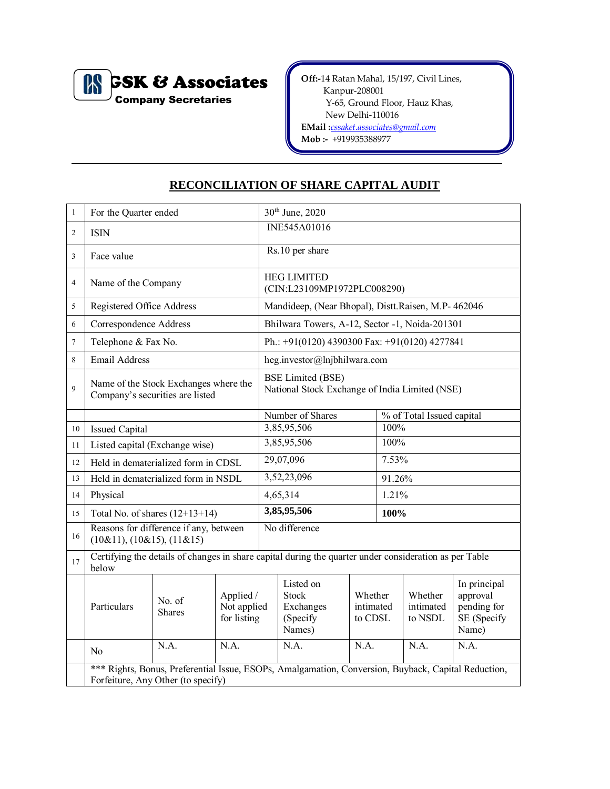

**Off:-**14 Ratan Mahal, 15/197, Civil Lines, Kanpur-208001 Y-65, Ground Floor, Hauz Khas, New Delhi-110016

**EMail :***[cssaket.associates@gmail.com](mailto:cssaket.associates@gmail.com)*

**Mob :-** +919935388977

## **RECONCILIATION OF SHARE CAPITAL AUDIT**

| $\mathbf{1}$   | For the Quarter ended                                                                                                                     |                                        |                                         |                                                                            | 30th June, 2020                                       |                                 |       |                                 |                                                                 |  |  |
|----------------|-------------------------------------------------------------------------------------------------------------------------------------------|----------------------------------------|-----------------------------------------|----------------------------------------------------------------------------|-------------------------------------------------------|---------------------------------|-------|---------------------------------|-----------------------------------------------------------------|--|--|
| $\overline{c}$ | <b>ISIN</b>                                                                                                                               |                                        |                                         |                                                                            | INE545A01016                                          |                                 |       |                                 |                                                                 |  |  |
| 3              | Face value                                                                                                                                |                                        |                                         | Rs.10 per share                                                            |                                                       |                                 |       |                                 |                                                                 |  |  |
| 4              | Name of the Company                                                                                                                       |                                        |                                         | <b>HEG LIMITED</b><br>(CIN:L23109MP1972PLC008290)                          |                                                       |                                 |       |                                 |                                                                 |  |  |
| 5              | Registered Office Address                                                                                                                 |                                        |                                         | Mandideep, (Near Bhopal), Distt.Raisen, M.P- 462046                        |                                                       |                                 |       |                                 |                                                                 |  |  |
| 6              | Correspondence Address                                                                                                                    |                                        |                                         | Bhilwara Towers, A-12, Sector -1, Noida-201301                             |                                                       |                                 |       |                                 |                                                                 |  |  |
| $\tau$         | Telephone & Fax No.                                                                                                                       |                                        |                                         |                                                                            | Ph.: $+91(0120)$ 4390300 Fax: $+91(0120)$ 4277841     |                                 |       |                                 |                                                                 |  |  |
| 8              | <b>Email Address</b>                                                                                                                      |                                        |                                         |                                                                            | heg.investor@lnjbhilwara.com                          |                                 |       |                                 |                                                                 |  |  |
| 9              | Name of the Stock Exchanges where the<br>Company's securities are listed                                                                  |                                        |                                         | <b>BSE Limited (BSE)</b><br>National Stock Exchange of India Limited (NSE) |                                                       |                                 |       |                                 |                                                                 |  |  |
|                |                                                                                                                                           |                                        |                                         |                                                                            | Number of Shares                                      |                                 |       | % of Total Issued capital       |                                                                 |  |  |
| 10             | <b>Issued Capital</b>                                                                                                                     |                                        |                                         | 3,85,95,506                                                                |                                                       |                                 | 100%  |                                 |                                                                 |  |  |
| 11             | Listed capital (Exchange wise)                                                                                                            |                                        |                                         | 3,85,95,506                                                                |                                                       |                                 | 100%  |                                 |                                                                 |  |  |
| 12             | Held in dematerialized form in CDSL                                                                                                       |                                        |                                         | 29,07,096                                                                  |                                                       |                                 | 7.53% |                                 |                                                                 |  |  |
| 13             | Held in dematerialized form in NSDL                                                                                                       |                                        |                                         |                                                                            | 3,52,23,096                                           |                                 |       | 91.26%                          |                                                                 |  |  |
| 14             | Physical                                                                                                                                  |                                        |                                         |                                                                            | 4,65,314                                              |                                 |       | 1.21%                           |                                                                 |  |  |
| 15             |                                                                                                                                           | Total No. of shares $(12+13+14)$       |                                         |                                                                            | 3,85,95,506                                           |                                 |       | 100%                            |                                                                 |  |  |
| 16             | $(10\&11), (10\&15), (11\&15)$                                                                                                            | Reasons for difference if any, between |                                         | No difference                                                              |                                                       |                                 |       |                                 |                                                                 |  |  |
| 17             | Certifying the details of changes in share capital during the quarter under consideration as per Table<br>below                           |                                        |                                         |                                                                            |                                                       |                                 |       |                                 |                                                                 |  |  |
|                | Particulars                                                                                                                               | No. of<br><b>Shares</b>                | Applied /<br>Not applied<br>for listing |                                                                            | Listed on<br>Stock<br>Exchanges<br>(Specify<br>Names) | Whether<br>intimated<br>to CDSL |       | Whether<br>intimated<br>to NSDL | In principal<br>approval<br>pending for<br>SE (Specify<br>Name) |  |  |
|                | No                                                                                                                                        | N.A.                                   | N.A.                                    |                                                                            | N.A.                                                  | N.A.                            |       | N.A.                            | N.A.                                                            |  |  |
|                | *** Rights, Bonus, Preferential Issue, ESOPs, Amalgamation, Conversion, Buyback, Capital Reduction,<br>Forfeiture, Any Other (to specify) |                                        |                                         |                                                                            |                                                       |                                 |       |                                 |                                                                 |  |  |